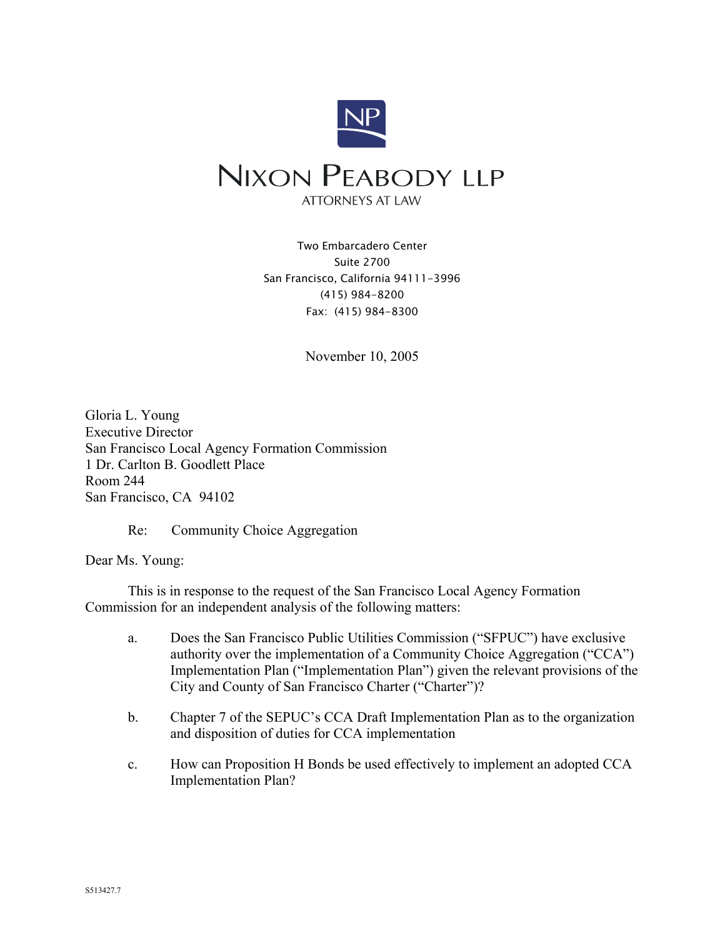

Two Embarcadero Center Suite 2700 San Francisco, California 94111-3996 (415) 984-8200 Fax: (415) 984-8300

November 10, 2005

Gloria L. Young Executive Director San Francisco Local Agency Formation Commission 1 Dr. Carlton B. Goodlett Place Room 244 San Francisco, CA 94102

Re: Community Choice Aggregation

Dear Ms. Young:

This is in response to the request of the San Francisco Local Agency Formation Commission for an independent analysis of the following matters:

- a. Does the San Francisco Public Utilities Commission ("SFPUC") have exclusive authority over the implementation of a Community Choice Aggregation ("CCA") Implementation Plan ("Implementation Plan") given the relevant provisions of the City and County of San Francisco Charter ("Charter")?
- b. Chapter 7 of the SEPUC's CCA Draft Implementation Plan as to the organization and disposition of duties for CCA implementation
- c. How can Proposition H Bonds be used effectively to implement an adopted CCA Implementation Plan?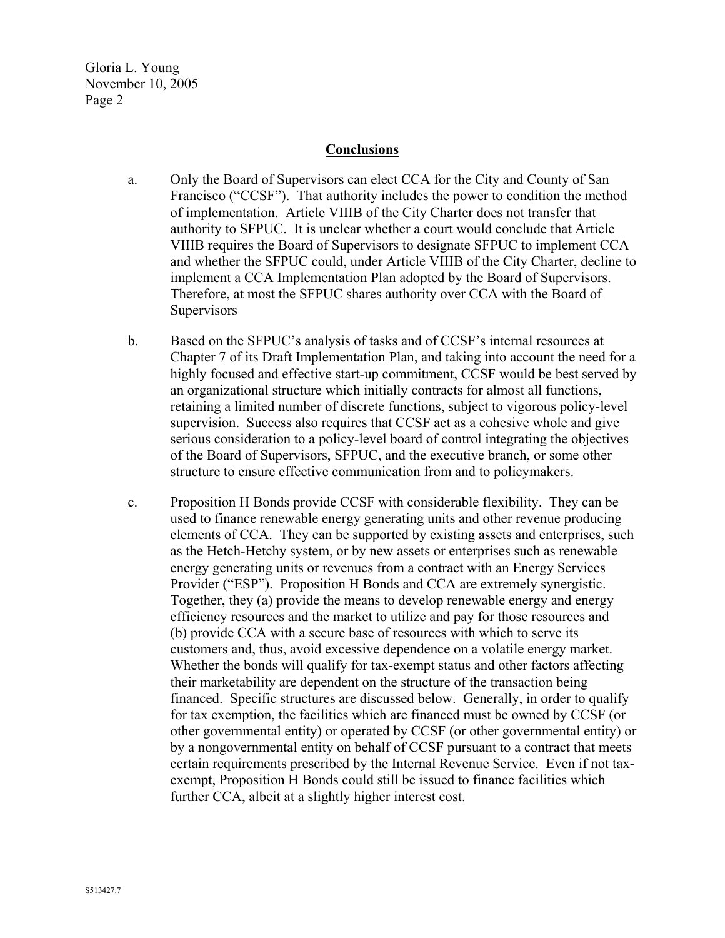#### **Conclusions**

- a. Only the Board of Supervisors can elect CCA for the City and County of San Francisco ("CCSF"). That authority includes the power to condition the method of implementation. Article VIIIB of the City Charter does not transfer that authority to SFPUC. It is unclear whether a court would conclude that Article VIIIB requires the Board of Supervisors to designate SFPUC to implement CCA and whether the SFPUC could, under Article VIIIB of the City Charter, decline to implement a CCA Implementation Plan adopted by the Board of Supervisors. Therefore, at most the SFPUC shares authority over CCA with the Board of **Supervisors**
- b. Based on the SFPUC's analysis of tasks and of CCSF's internal resources at Chapter 7 of its Draft Implementation Plan, and taking into account the need for a highly focused and effective start-up commitment, CCSF would be best served by an organizational structure which initially contracts for almost all functions, retaining a limited number of discrete functions, subject to vigorous policy-level supervision. Success also requires that CCSF act as a cohesive whole and give serious consideration to a policy-level board of control integrating the objectives of the Board of Supervisors, SFPUC, and the executive branch, or some other structure to ensure effective communication from and to policymakers.
- c. Proposition H Bonds provide CCSF with considerable flexibility. They can be used to finance renewable energy generating units and other revenue producing elements of CCA. They can be supported by existing assets and enterprises, such as the Hetch-Hetchy system, or by new assets or enterprises such as renewable energy generating units or revenues from a contract with an Energy Services Provider ("ESP"). Proposition H Bonds and CCA are extremely synergistic. Together, they (a) provide the means to develop renewable energy and energy efficiency resources and the market to utilize and pay for those resources and (b) provide CCA with a secure base of resources with which to serve its customers and, thus, avoid excessive dependence on a volatile energy market. Whether the bonds will qualify for tax-exempt status and other factors affecting their marketability are dependent on the structure of the transaction being financed. Specific structures are discussed below. Generally, in order to qualify for tax exemption, the facilities which are financed must be owned by CCSF (or other governmental entity) or operated by CCSF (or other governmental entity) or by a nongovernmental entity on behalf of CCSF pursuant to a contract that meets certain requirements prescribed by the Internal Revenue Service. Even if not taxexempt, Proposition H Bonds could still be issued to finance facilities which further CCA, albeit at a slightly higher interest cost.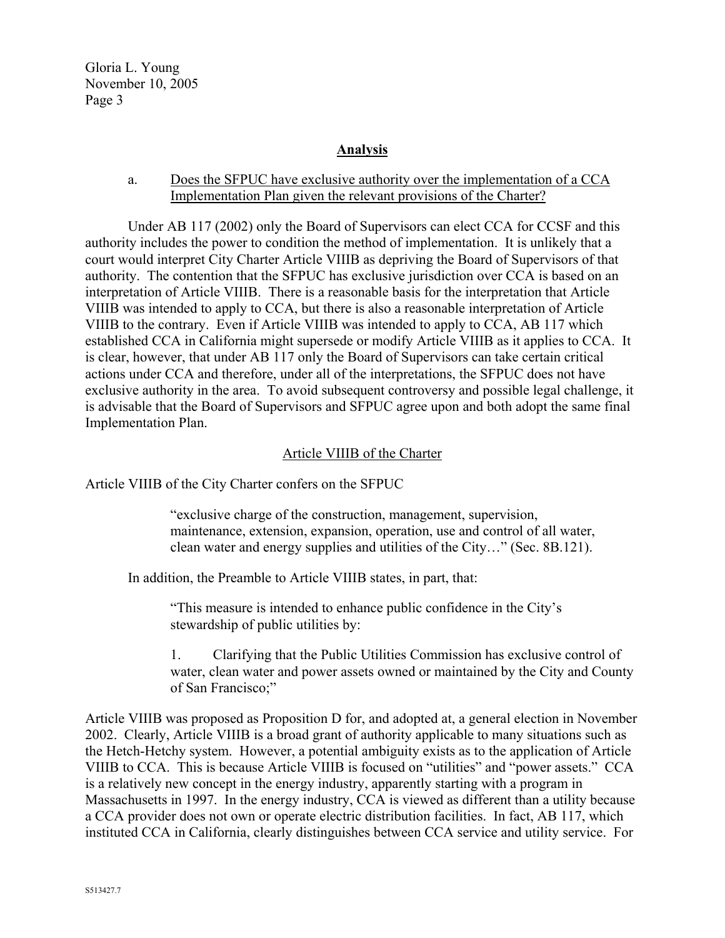#### **Analysis**

## a. Does the SFPUC have exclusive authority over the implementation of a CCA Implementation Plan given the relevant provisions of the Charter?

Under AB 117 (2002) only the Board of Supervisors can elect CCA for CCSF and this authority includes the power to condition the method of implementation. It is unlikely that a court would interpret City Charter Article VIIIB as depriving the Board of Supervisors of that authority. The contention that the SFPUC has exclusive jurisdiction over CCA is based on an interpretation of Article VIIIB. There is a reasonable basis for the interpretation that Article VIIIB was intended to apply to CCA, but there is also a reasonable interpretation of Article VIIIB to the contrary. Even if Article VIIIB was intended to apply to CCA, AB 117 which established CCA in California might supersede or modify Article VIIIB as it applies to CCA. It is clear, however, that under AB 117 only the Board of Supervisors can take certain critical actions under CCA and therefore, under all of the interpretations, the SFPUC does not have exclusive authority in the area. To avoid subsequent controversy and possible legal challenge, it is advisable that the Board of Supervisors and SFPUC agree upon and both adopt the same final Implementation Plan.

#### Article VIIIB of the Charter

Article VIIIB of the City Charter confers on the SFPUC

"exclusive charge of the construction, management, supervision, maintenance, extension, expansion, operation, use and control of all water, clean water and energy supplies and utilities of the City…" (Sec. 8B.121).

In addition, the Preamble to Article VIIIB states, in part, that:

"This measure is intended to enhance public confidence in the City's stewardship of public utilities by:

1. Clarifying that the Public Utilities Commission has exclusive control of water, clean water and power assets owned or maintained by the City and County of San Francisco;"

Article VIIIB was proposed as Proposition D for, and adopted at, a general election in November 2002. Clearly, Article VIIIB is a broad grant of authority applicable to many situations such as the Hetch-Hetchy system. However, a potential ambiguity exists as to the application of Article VIIIB to CCA. This is because Article VIIIB is focused on "utilities" and "power assets." CCA is a relatively new concept in the energy industry, apparently starting with a program in Massachusetts in 1997. In the energy industry, CCA is viewed as different than a utility because a CCA provider does not own or operate electric distribution facilities. In fact, AB 117, which instituted CCA in California, clearly distinguishes between CCA service and utility service. For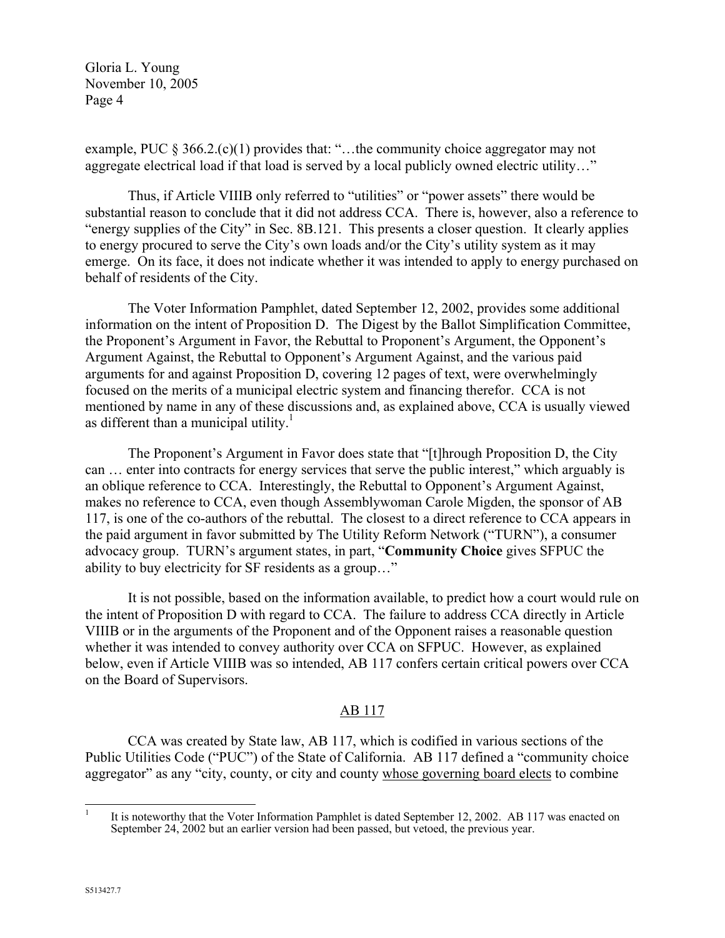example, PUC § 366.2.(c)(1) provides that: "…the community choice aggregator may not aggregate electrical load if that load is served by a local publicly owned electric utility…"

Thus, if Article VIIIB only referred to "utilities" or "power assets" there would be substantial reason to conclude that it did not address CCA. There is, however, also a reference to "energy supplies of the City" in Sec. 8B.121. This presents a closer question. It clearly applies to energy procured to serve the City's own loads and/or the City's utility system as it may emerge. On its face, it does not indicate whether it was intended to apply to energy purchased on behalf of residents of the City.

The Voter Information Pamphlet, dated September 12, 2002, provides some additional information on the intent of Proposition D. The Digest by the Ballot Simplification Committee, the Proponent's Argument in Favor, the Rebuttal to Proponent's Argument, the Opponent's Argument Against, the Rebuttal to Opponent's Argument Against, and the various paid arguments for and against Proposition D, covering 12 pages of text, were overwhelmingly focused on the merits of a municipal electric system and financing therefor. CCA is not mentioned by name in any of these discussions and, as explained above, CCA is usually viewed as different than a municipal utility. $\frac{1}{1}$ 

The Proponent's Argument in Favor does state that "[t]hrough Proposition D, the City can … enter into contracts for energy services that serve the public interest," which arguably is an oblique reference to CCA. Interestingly, the Rebuttal to Opponent's Argument Against, makes no reference to CCA, even though Assemblywoman Carole Migden, the sponsor of AB 117, is one of the co-authors of the rebuttal. The closest to a direct reference to CCA appears in the paid argument in favor submitted by The Utility Reform Network ("TURN"), a consumer advocacy group. TURN's argument states, in part, "**Community Choice** gives SFPUC the ability to buy electricity for SF residents as a group…"

It is not possible, based on the information available, to predict how a court would rule on the intent of Proposition D with regard to CCA. The failure to address CCA directly in Article VIIIB or in the arguments of the Proponent and of the Opponent raises a reasonable question whether it was intended to convey authority over CCA on SFPUC. However, as explained below, even if Article VIIIB was so intended, AB 117 confers certain critical powers over CCA on the Board of Supervisors.

## AB 117

CCA was created by State law, AB 117, which is codified in various sections of the Public Utilities Code ("PUC") of the State of California. AB 117 defined a "community choice aggregator" as any "city, county, or city and county whose governing board elects to combine

<span id="page-3-0"></span> $\mathbf{1}$ <sup>1</sup> It is noteworthy that the Voter Information Pamphlet is dated September 12, 2002. AB 117 was enacted on September 24, 2002 but an earlier version had been passed, but vetoed, the previous year.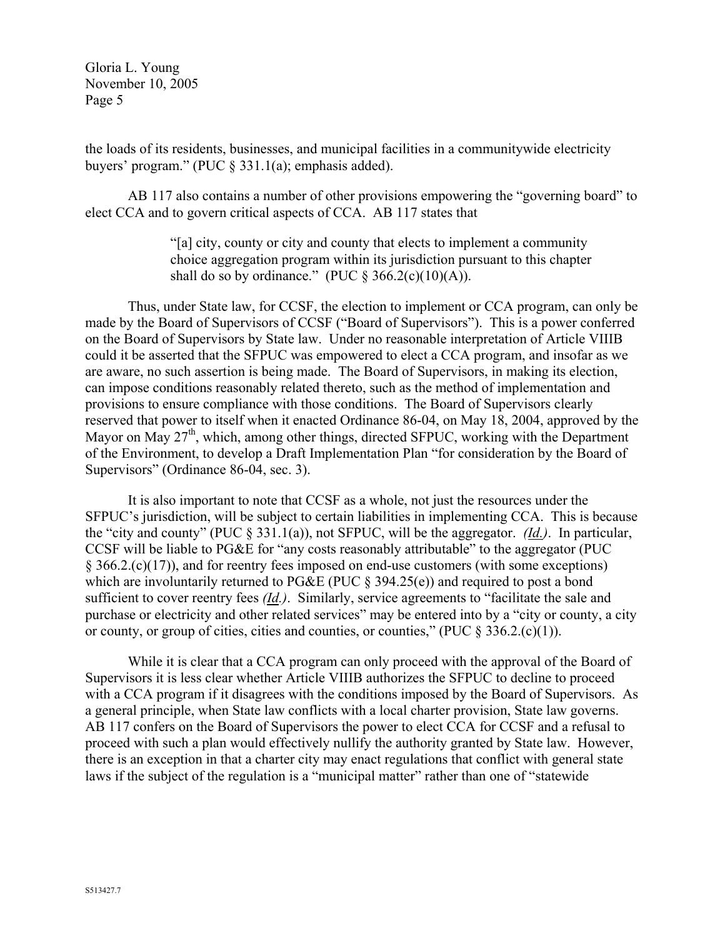the loads of its residents, businesses, and municipal facilities in a communitywide electricity buyers' program." (PUC § 331.1(a); emphasis added).

AB 117 also contains a number of other provisions empowering the "governing board" to elect CCA and to govern critical aspects of CCA. AB 117 states that

> "[a] city, county or city and county that elects to implement a community choice aggregation program within its jurisdiction pursuant to this chapter shall do so by ordinance." (PUC  $\S$  366.2(c)(10)(A)).

Thus, under State law, for CCSF, the election to implement or CCA program, can only be made by the Board of Supervisors of CCSF ("Board of Supervisors"). This is a power conferred on the Board of Supervisors by State law. Under no reasonable interpretation of Article VIIIB could it be asserted that the SFPUC was empowered to elect a CCA program, and insofar as we are aware, no such assertion is being made. The Board of Supervisors, in making its election, can impose conditions reasonably related thereto, such as the method of implementation and provisions to ensure compliance with those conditions. The Board of Supervisors clearly reserved that power to itself when it enacted Ordinance 86-04, on May 18, 2004, approved by the Mayor on May  $27<sup>th</sup>$ , which, among other things, directed SFPUC, working with the Department of the Environment, to develop a Draft Implementation Plan "for consideration by the Board of Supervisors" (Ordinance 86-04, sec. 3).

It is also important to note that CCSF as a whole, not just the resources under the SFPUC's jurisdiction, will be subject to certain liabilities in implementing CCA. This is because the "city and county" (PUC § 331.1(a)), not SFPUC, will be the aggregator. *(Id.)*. In particular, CCSF will be liable to PG&E for "any costs reasonably attributable" to the aggregator (PUC § 366.2.(c)(17)), and for reentry fees imposed on end-use customers (with some exceptions) which are involuntarily returned to PG&E (PUC § 394.25(e)) and required to post a bond sufficient to cover reentry fees *(Id.)*. Similarly, service agreements to "facilitate the sale and purchase or electricity and other related services" may be entered into by a "city or county, a city or county, or group of cities, cities and counties, or counties," (PUC  $\S 336.2(c)(1)$ ).

While it is clear that a CCA program can only proceed with the approval of the Board of Supervisors it is less clear whether Article VIIIB authorizes the SFPUC to decline to proceed with a CCA program if it disagrees with the conditions imposed by the Board of Supervisors. As a general principle, when State law conflicts with a local charter provision, State law governs. AB 117 confers on the Board of Supervisors the power to elect CCA for CCSF and a refusal to proceed with such a plan would effectively nullify the authority granted by State law. However, there is an exception in that a charter city may enact regulations that conflict with general state laws if the subject of the regulation is a "municipal matter" rather than one of "statewide"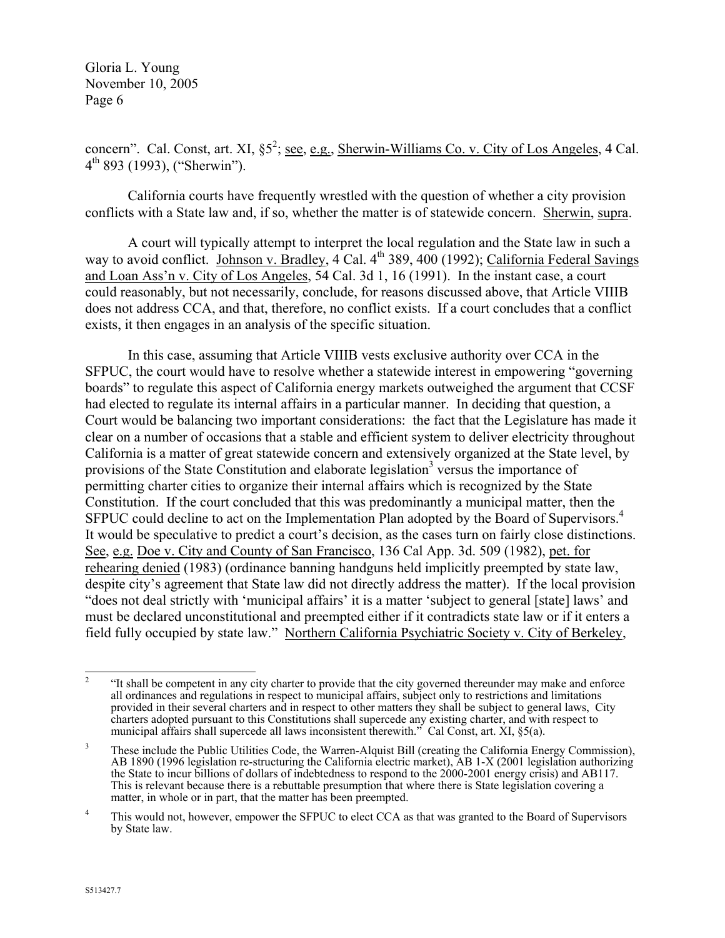concern". Cal. Const, art. XI, §5<sup>2</sup>; <u>see, e.g., Sherwin-Williams Co. v. City of Los Angeles</u>, 4 Cal.  $4<sup>th</sup> 893$  (1993), ("Sherwin").

California courts have frequently wrestled with the question of whether a city provision conflicts with a State law and, if so, whether the matter is of statewide concern. Sherwin, supra.

A court will typically attempt to interpret the local regulation and the State law in such a way to avoid conflict. Johnson v. Bradley,  $4$  Cal.  $4<sup>th</sup>$  389, 400 (1992); California Federal Savings and Loan Ass'n v. City of Los Angeles, 54 Cal. 3d 1, 16 (1991). In the instant case, a court could reasonably, but not necessarily, conclude, for reasons discussed above, that Article VIIIB does not address CCA, and that, therefore, no conflict exists. If a court concludes that a conflict exists, it then engages in an analysis of the specific situation.

In this case, assuming that Article VIIIB vests exclusive authority over CCA in the SFPUC, the court would have to resolve whether a statewide interest in empowering "governing boards" to regulate this aspect of California energy markets outweighed the argument that CCSF had elected to regulate its internal affairs in a particular manner. In deciding that question, a Court would be balancing two important considerations: the fact that the Legislature has made it clear on a number of occasions that a stable and efficient system to deliver electricity throughout California is a matter of great statewide concern and extensively organized at the State level, by provisions of the State Constitution and elaborate legislation<sup>3</sup> versus the importance of permitting charter cities to organize their internal affairs which is recognized by the State Constitution. If the court concluded that this was predominantly a municipal matter, then the SFPUC could decline to act on the Implementation Plan adopted by the Board of Supervisors.<sup>[4](#page-5-2)</sup> It would be speculative to predict a court's decision, as the cases turn on fairly close distinctions. See, e.g. Doe v. City and County of San Francisco, 136 Cal App. 3d. 509 (1982), pet. for rehearing denied (1983) (ordinance banning handguns held implicitly preempted by state law, despite city's agreement that State law did not directly address the matter). If the local provision "does not deal strictly with 'municipal affairs' it is a matter 'subject to general [state] laws' and must be declared unconstitutional and preempted either if it contradicts state law or if it enters a field fully occupied by state law." Northern California Psychiatric Society v. City of Berkeley,

<span id="page-5-0"></span> $\overline{2}$ <sup>2</sup> "It shall be competent in any city charter to provide that the city governed thereunder may make and enforce all ordinances and regulations in respect to municipal affairs, subject only to restrictions and limitations provided in their several charters and in respect to other matters they shall be subject to general laws, City charters adopted pursuant to this Constitutions shall supercede any existing charter, and with respect to municipal affairs shall supercede all laws inconsistent therewith." Cal Const, art. XI, §5(a).

<span id="page-5-1"></span><sup>&</sup>lt;sup>3</sup> These include the Public Utilities Code, the Warren-Alquist Bill (creating the California Energy Commission), AB 1890 (1996 legislation re-structuring the California electric market), AB 1-X (2001 legislation authorizing the State to incur billions of dollars of indebtedness to respond to the 2000-2001 energy crisis) and AB117. This is relevant because there is a rebuttable presumption that where there is State legislation covering a matter, in whole or in part, that the matter has been preempted.

<span id="page-5-2"></span><sup>&</sup>lt;sup>4</sup> This would not, however, empower the SFPUC to elect CCA as that was granted to the Board of Supervisors by State law.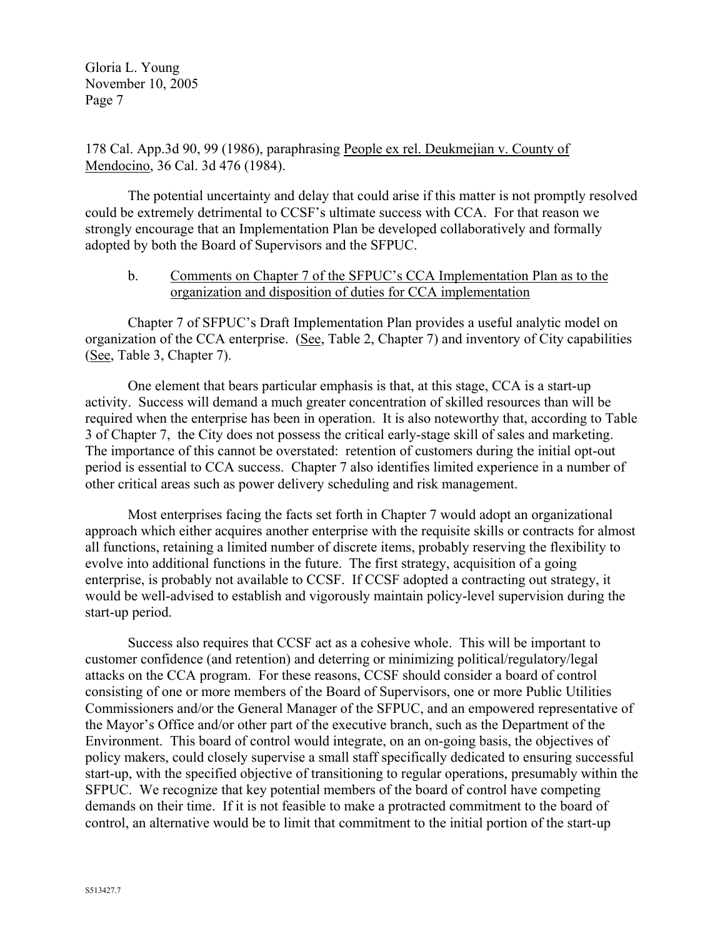178 Cal. App.3d 90, 99 (1986), paraphrasing People ex rel. Deukmejian v. County of Mendocino, 36 Cal. 3d 476 (1984).

The potential uncertainty and delay that could arise if this matter is not promptly resolved could be extremely detrimental to CCSF's ultimate success with CCA. For that reason we strongly encourage that an Implementation Plan be developed collaboratively and formally adopted by both the Board of Supervisors and the SFPUC.

#### b. Comments on Chapter 7 of the SFPUC's CCA Implementation Plan as to the organization and disposition of duties for CCA implementation

Chapter 7 of SFPUC's Draft Implementation Plan provides a useful analytic model on organization of the CCA enterprise. (See, Table 2, Chapter 7) and inventory of City capabilities (See, Table 3, Chapter 7).

One element that bears particular emphasis is that, at this stage, CCA is a start-up activity. Success will demand a much greater concentration of skilled resources than will be required when the enterprise has been in operation. It is also noteworthy that, according to Table 3 of Chapter 7, the City does not possess the critical early-stage skill of sales and marketing. The importance of this cannot be overstated: retention of customers during the initial opt-out period is essential to CCA success. Chapter 7 also identifies limited experience in a number of other critical areas such as power delivery scheduling and risk management.

Most enterprises facing the facts set forth in Chapter 7 would adopt an organizational approach which either acquires another enterprise with the requisite skills or contracts for almost all functions, retaining a limited number of discrete items, probably reserving the flexibility to evolve into additional functions in the future. The first strategy, acquisition of a going enterprise, is probably not available to CCSF. If CCSF adopted a contracting out strategy, it would be well-advised to establish and vigorously maintain policy-level supervision during the start-up period.

Success also requires that CCSF act as a cohesive whole. This will be important to customer confidence (and retention) and deterring or minimizing political/regulatory/legal attacks on the CCA program. For these reasons, CCSF should consider a board of control consisting of one or more members of the Board of Supervisors, one or more Public Utilities Commissioners and/or the General Manager of the SFPUC, and an empowered representative of the Mayor's Office and/or other part of the executive branch, such as the Department of the Environment. This board of control would integrate, on an on-going basis, the objectives of policy makers, could closely supervise a small staff specifically dedicated to ensuring successful start-up, with the specified objective of transitioning to regular operations, presumably within the SFPUC. We recognize that key potential members of the board of control have competing demands on their time. If it is not feasible to make a protracted commitment to the board of control, an alternative would be to limit that commitment to the initial portion of the start-up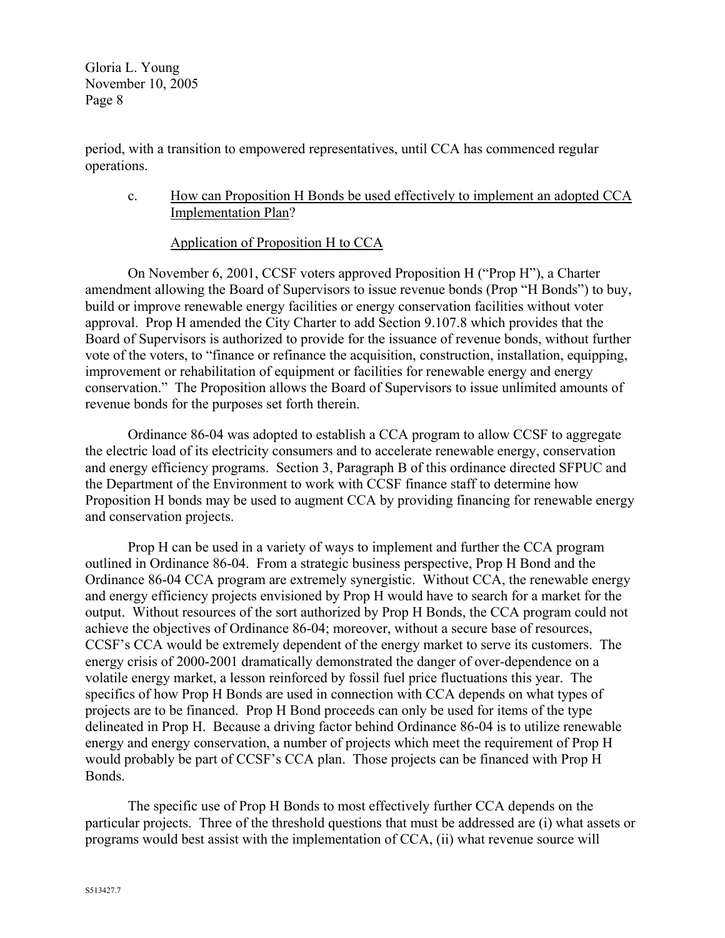period, with a transition to empowered representatives, until CCA has commenced regular operations.

c. How can Proposition H Bonds be used effectively to implement an adopted CCA Implementation Plan?

## Application of Proposition H to CCA

On November 6, 2001, CCSF voters approved Proposition H ("Prop H"), a Charter amendment allowing the Board of Supervisors to issue revenue bonds (Prop "H Bonds") to buy, build or improve renewable energy facilities or energy conservation facilities without voter approval. Prop H amended the City Charter to add Section 9.107.8 which provides that the Board of Supervisors is authorized to provide for the issuance of revenue bonds, without further vote of the voters, to "finance or refinance the acquisition, construction, installation, equipping, improvement or rehabilitation of equipment or facilities for renewable energy and energy conservation." The Proposition allows the Board of Supervisors to issue unlimited amounts of revenue bonds for the purposes set forth therein.

Ordinance 86-04 was adopted to establish a CCA program to allow CCSF to aggregate the electric load of its electricity consumers and to accelerate renewable energy, conservation and energy efficiency programs. Section 3, Paragraph B of this ordinance directed SFPUC and the Department of the Environment to work with CCSF finance staff to determine how Proposition H bonds may be used to augment CCA by providing financing for renewable energy and conservation projects.

Prop H can be used in a variety of ways to implement and further the CCA program outlined in Ordinance 86-04. From a strategic business perspective, Prop H Bond and the Ordinance 86-04 CCA program are extremely synergistic. Without CCA, the renewable energy and energy efficiency projects envisioned by Prop H would have to search for a market for the output. Without resources of the sort authorized by Prop H Bonds, the CCA program could not achieve the objectives of Ordinance 86-04; moreover, without a secure base of resources, CCSF's CCA would be extremely dependent of the energy market to serve its customers. The energy crisis of 2000-2001 dramatically demonstrated the danger of over-dependence on a volatile energy market, a lesson reinforced by fossil fuel price fluctuations this year. The specifics of how Prop H Bonds are used in connection with CCA depends on what types of projects are to be financed. Prop H Bond proceeds can only be used for items of the type delineated in Prop H. Because a driving factor behind Ordinance 86-04 is to utilize renewable energy and energy conservation, a number of projects which meet the requirement of Prop H would probably be part of CCSF's CCA plan. Those projects can be financed with Prop H Bonds.

The specific use of Prop H Bonds to most effectively further CCA depends on the particular projects. Three of the threshold questions that must be addressed are (i) what assets or programs would best assist with the implementation of CCA, (ii) what revenue source will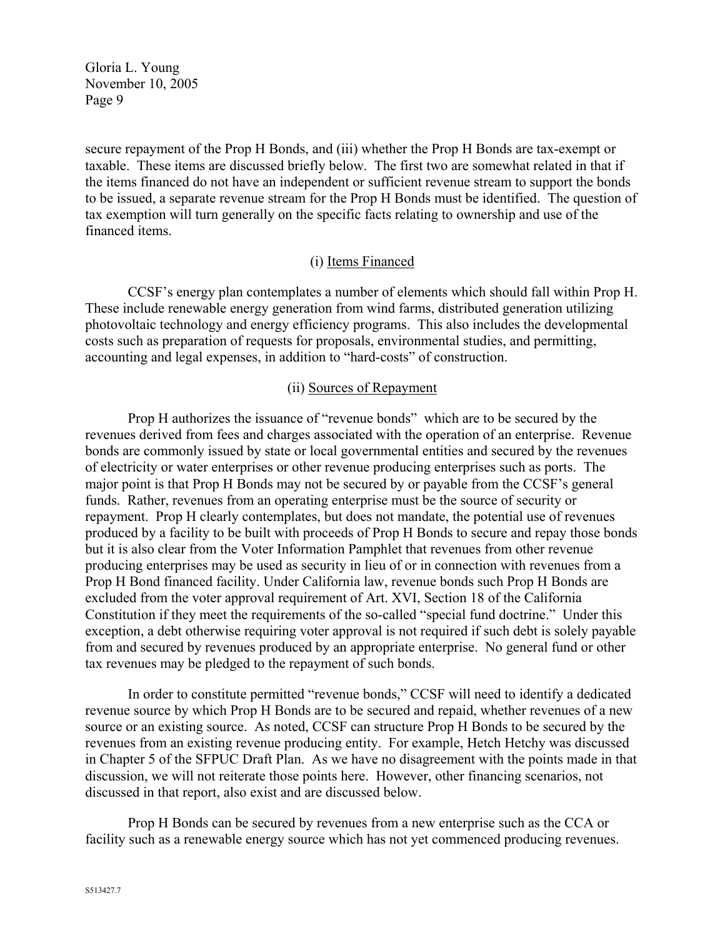secure repayment of the Prop H Bonds, and (iii) whether the Prop H Bonds are tax-exempt or taxable. These items are discussed briefly below. The first two are somewhat related in that if the items financed do not have an independent or sufficient revenue stream to support the bonds to be issued, a separate revenue stream for the Prop H Bonds must be identified. The question of tax exemption will turn generally on the specific facts relating to ownership and use of the financed items.

## (i) Items Financed

CCSF's energy plan contemplates a number of elements which should fall within Prop H. These include renewable energy generation from wind farms, distributed generation utilizing photovoltaic technology and energy efficiency programs. This also includes the developmental costs such as preparation of requests for proposals, environmental studies, and permitting, accounting and legal expenses, in addition to "hard-costs" of construction.

#### (ii) Sources of Repayment

Prop H authorizes the issuance of "revenue bonds" which are to be secured by the revenues derived from fees and charges associated with the operation of an enterprise. Revenue bonds are commonly issued by state or local governmental entities and secured by the revenues of electricity or water enterprises or other revenue producing enterprises such as ports. The major point is that Prop H Bonds may not be secured by or payable from the CCSF's general funds. Rather, revenues from an operating enterprise must be the source of security or repayment. Prop H clearly contemplates, but does not mandate, the potential use of revenues produced by a facility to be built with proceeds of Prop H Bonds to secure and repay those bonds but it is also clear from the Voter Information Pamphlet that revenues from other revenue producing enterprises may be used as security in lieu of or in connection with revenues from a Prop H Bond financed facility. Under California law, revenue bonds such Prop H Bonds are excluded from the voter approval requirement of Art. XVI, Section 18 of the California Constitution if they meet the requirements of the so-called "special fund doctrine." Under this exception, a debt otherwise requiring voter approval is not required if such debt is solely payable from and secured by revenues produced by an appropriate enterprise. No general fund or other tax revenues may be pledged to the repayment of such bonds.

In order to constitute permitted "revenue bonds," CCSF will need to identify a dedicated revenue source by which Prop H Bonds are to be secured and repaid, whether revenues of a new source or an existing source. As noted, CCSF can structure Prop H Bonds to be secured by the revenues from an existing revenue producing entity. For example, Hetch Hetchy was discussed in Chapter 5 of the SFPUC Draft Plan. As we have no disagreement with the points made in that discussion, we will not reiterate those points here. However, other financing scenarios, not discussed in that report, also exist and are discussed below.

Prop H Bonds can be secured by revenues from a new enterprise such as the CCA or facility such as a renewable energy source which has not yet commenced producing revenues.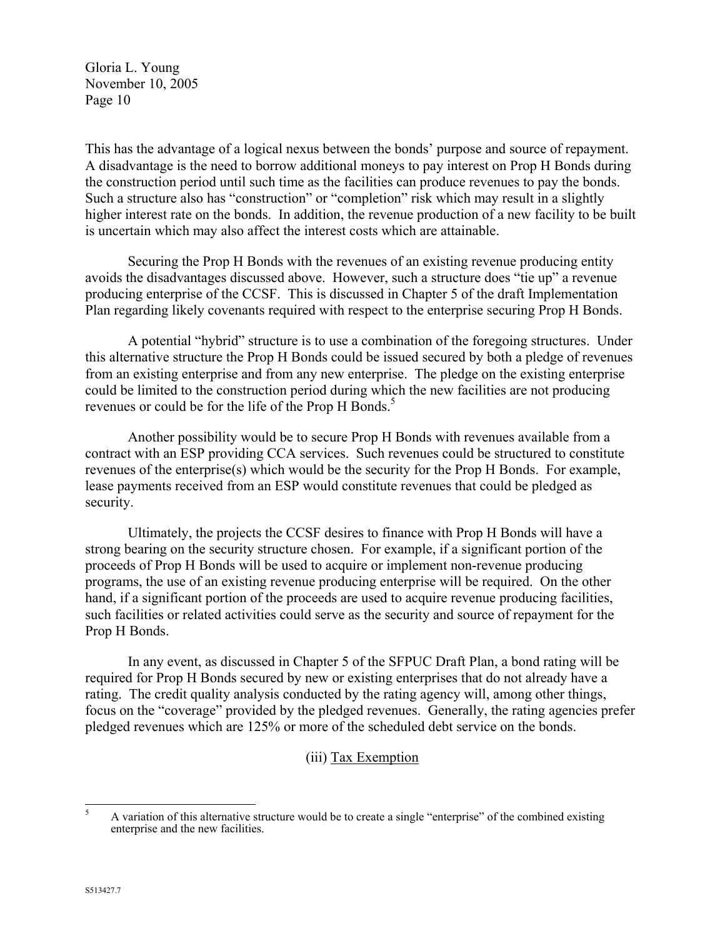This has the advantage of a logical nexus between the bonds' purpose and source of repayment. A disadvantage is the need to borrow additional moneys to pay interest on Prop H Bonds during the construction period until such time as the facilities can produce revenues to pay the bonds. Such a structure also has "construction" or "completion" risk which may result in a slightly higher interest rate on the bonds. In addition, the revenue production of a new facility to be built is uncertain which may also affect the interest costs which are attainable.

Securing the Prop H Bonds with the revenues of an existing revenue producing entity avoids the disadvantages discussed above. However, such a structure does "tie up" a revenue producing enterprise of the CCSF. This is discussed in Chapter 5 of the draft Implementation Plan regarding likely covenants required with respect to the enterprise securing Prop H Bonds.

A potential "hybrid" structure is to use a combination of the foregoing structures. Under this alternative structure the Prop H Bonds could be issued secured by both a pledge of revenues from an existing enterprise and from any new enterprise. The pledge on the existing enterprise could be limited to the construction period during which the new facilities are not producing revenues or could be for the life of the Prop H Bonds.<sup>5</sup>

Another possibility would be to secure Prop H Bonds with revenues available from a contract with an ESP providing CCA services. Such revenues could be structured to constitute revenues of the enterprise(s) which would be the security for the Prop H Bonds. For example, lease payments received from an ESP would constitute revenues that could be pledged as security.

Ultimately, the projects the CCSF desires to finance with Prop H Bonds will have a strong bearing on the security structure chosen. For example, if a significant portion of the proceeds of Prop H Bonds will be used to acquire or implement non-revenue producing programs, the use of an existing revenue producing enterprise will be required. On the other hand, if a significant portion of the proceeds are used to acquire revenue producing facilities, such facilities or related activities could serve as the security and source of repayment for the Prop H Bonds.

In any event, as discussed in Chapter 5 of the SFPUC Draft Plan, a bond rating will be required for Prop H Bonds secured by new or existing enterprises that do not already have a rating. The credit quality analysis conducted by the rating agency will, among other things, focus on the "coverage" provided by the pledged revenues. Generally, the rating agencies prefer pledged revenues which are 125% or more of the scheduled debt service on the bonds.

(iii) Tax Exemption

<span id="page-9-0"></span><sup>5</sup> <sup>5</sup> A variation of this alternative structure would be to create a single "enterprise" of the combined existing enterprise and the new facilities.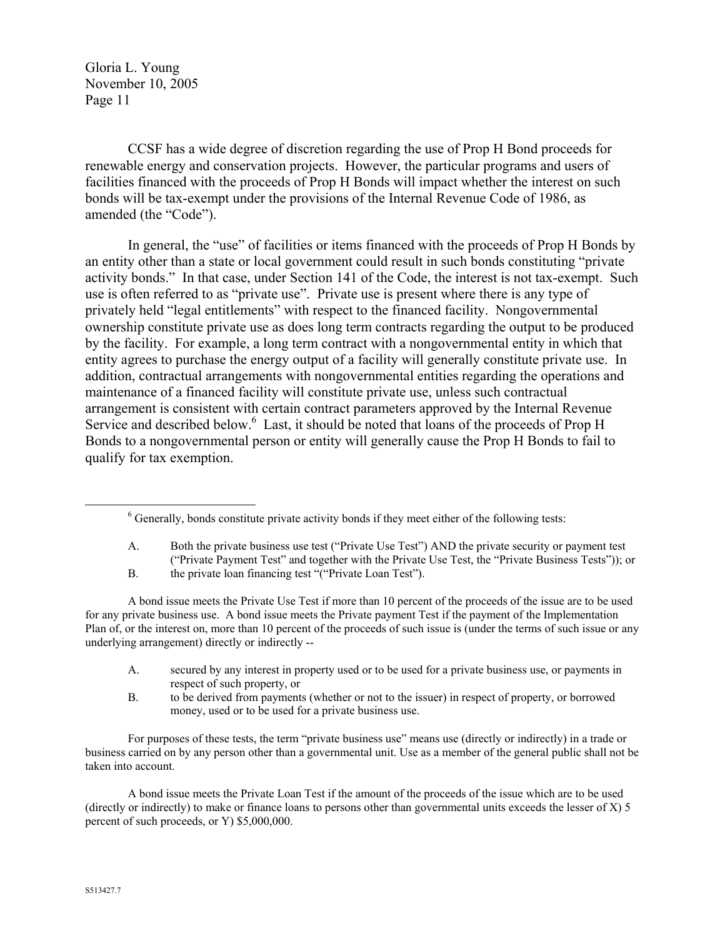CCSF has a wide degree of discretion regarding the use of Prop H Bond proceeds for renewable energy and conservation projects. However, the particular programs and users of facilities financed with the proceeds of Prop H Bonds will impact whether the interest on such bonds will be tax-exempt under the provisions of the Internal Revenue Code of 1986, as amended (the "Code").

In general, the "use" of facilities or items financed with the proceeds of Prop H Bonds by an entity other than a state or local government could result in such bonds constituting "private activity bonds." In that case, under Section 141 of the Code, the interest is not tax-exempt. Such use is often referred to as "private use". Private use is present where there is any type of privately held "legal entitlements" with respect to the financed facility. Nongovernmental ownership constitute private use as does long term contracts regarding the output to be produced by the facility. For example, a long term contract with a nongovernmental entity in which that entity agrees to purchase the energy output of a facility will generally constitute private use. In addition, contractual arrangements with nongovernmental entities regarding the operations and maintenance of a financed facility will constitute private use, unless such contractual arrangement is consistent with certain contract parameters approved by the Internal Revenue Service and described below.<sup>[6](#page-10-0)</sup> Last, it should be noted that loans of the proceeds of Prop H Bonds to a nongovernmental person or entity will generally cause the Prop H Bonds to fail to qualify for tax exemption.

A bond issue meets the Private Use Test if more than 10 percent of the proceeds of the issue are to be used for any private business use. A bond issue meets the Private payment Test if the payment of the Implementation Plan of, or the interest on, more than 10 percent of the proceeds of such issue is (under the terms of such issue or any underlying arrangement) directly or indirectly --

- A. secured by any interest in property used or to be used for a private business use, or payments in respect of such property, or
- B. to be derived from payments (whether or not to the issuer) in respect of property, or borrowed money, used or to be used for a private business use.

For purposes of these tests, the term "private business use" means use (directly or indirectly) in a trade or business carried on by any person other than a governmental unit. Use as a member of the general public shall not be taken into account.

A bond issue meets the Private Loan Test if the amount of the proceeds of the issue which are to be used (directly or indirectly) to make or finance loans to persons other than governmental units exceeds the lesser of X) 5 percent of such proceeds, or Y) \$5,000,000.

<span id="page-10-0"></span> $6$  Generally, bonds constitute private activity bonds if they meet either of the following tests:

A. Both the private business use test ("Private Use Test") AND the private security or payment test ("Private Payment Test" and together with the Private Use Test, the "Private Business Tests")); or

B. the private loan financing test "("Private Loan Test").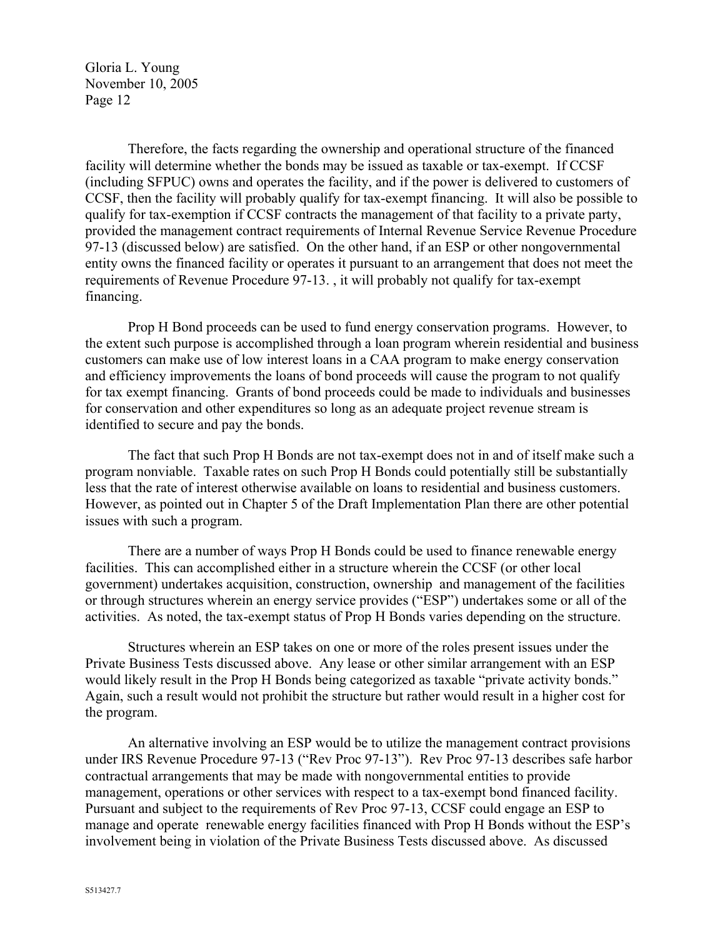Therefore, the facts regarding the ownership and operational structure of the financed facility will determine whether the bonds may be issued as taxable or tax-exempt. If CCSF (including SFPUC) owns and operates the facility, and if the power is delivered to customers of CCSF, then the facility will probably qualify for tax-exempt financing. It will also be possible to qualify for tax-exemption if CCSF contracts the management of that facility to a private party, provided the management contract requirements of Internal Revenue Service Revenue Procedure 97-13 (discussed below) are satisfied. On the other hand, if an ESP or other nongovernmental entity owns the financed facility or operates it pursuant to an arrangement that does not meet the requirements of Revenue Procedure 97-13. , it will probably not qualify for tax-exempt financing.

Prop H Bond proceeds can be used to fund energy conservation programs. However, to the extent such purpose is accomplished through a loan program wherein residential and business customers can make use of low interest loans in a CAA program to make energy conservation and efficiency improvements the loans of bond proceeds will cause the program to not qualify for tax exempt financing. Grants of bond proceeds could be made to individuals and businesses for conservation and other expenditures so long as an adequate project revenue stream is identified to secure and pay the bonds.

The fact that such Prop H Bonds are not tax-exempt does not in and of itself make such a program nonviable. Taxable rates on such Prop H Bonds could potentially still be substantially less that the rate of interest otherwise available on loans to residential and business customers. However, as pointed out in Chapter 5 of the Draft Implementation Plan there are other potential issues with such a program.

There are a number of ways Prop H Bonds could be used to finance renewable energy facilities. This can accomplished either in a structure wherein the CCSF (or other local government) undertakes acquisition, construction, ownership and management of the facilities or through structures wherein an energy service provides ("ESP") undertakes some or all of the activities. As noted, the tax-exempt status of Prop H Bonds varies depending on the structure.

Structures wherein an ESP takes on one or more of the roles present issues under the Private Business Tests discussed above. Any lease or other similar arrangement with an ESP would likely result in the Prop H Bonds being categorized as taxable "private activity bonds." Again, such a result would not prohibit the structure but rather would result in a higher cost for the program.

An alternative involving an ESP would be to utilize the management contract provisions under IRS Revenue Procedure 97-13 ("Rev Proc 97-13"). Rev Proc 97-13 describes safe harbor contractual arrangements that may be made with nongovernmental entities to provide management, operations or other services with respect to a tax-exempt bond financed facility. Pursuant and subject to the requirements of Rev Proc 97-13, CCSF could engage an ESP to manage and operate renewable energy facilities financed with Prop H Bonds without the ESP's involvement being in violation of the Private Business Tests discussed above. As discussed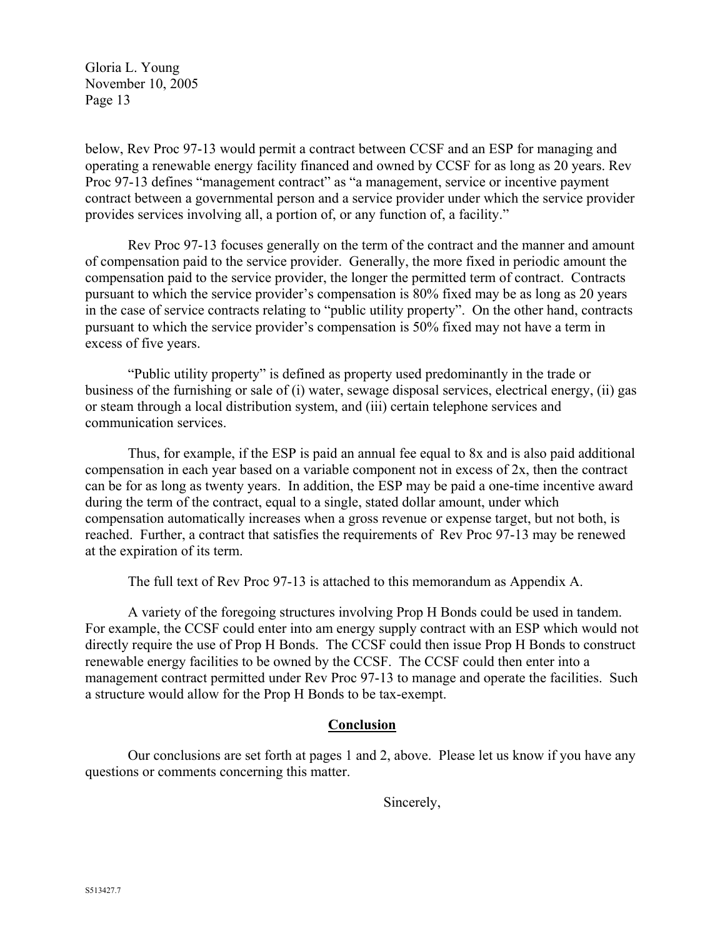below, Rev Proc 97-13 would permit a contract between CCSF and an ESP for managing and operating a renewable energy facility financed and owned by CCSF for as long as 20 years. Rev Proc 97-13 defines "management contract" as "a management, service or incentive payment contract between a governmental person and a service provider under which the service provider provides services involving all, a portion of, or any function of, a facility."

Rev Proc 97-13 focuses generally on the term of the contract and the manner and amount of compensation paid to the service provider. Generally, the more fixed in periodic amount the compensation paid to the service provider, the longer the permitted term of contract. Contracts pursuant to which the service provider's compensation is 80% fixed may be as long as 20 years in the case of service contracts relating to "public utility property". On the other hand, contracts pursuant to which the service provider's compensation is 50% fixed may not have a term in excess of five years.

"Public utility property" is defined as property used predominantly in the trade or business of the furnishing or sale of (i) water, sewage disposal services, electrical energy, (ii) gas or steam through a local distribution system, and (iii) certain telephone services and communication services.

Thus, for example, if the ESP is paid an annual fee equal to 8x and is also paid additional compensation in each year based on a variable component not in excess of 2x, then the contract can be for as long as twenty years. In addition, the ESP may be paid a one-time incentive award during the term of the contract, equal to a single, stated dollar amount, under which compensation automatically increases when a gross revenue or expense target, but not both, is reached. Further, a contract that satisfies the requirements of Rev Proc 97-13 may be renewed at the expiration of its term.

The full text of Rev Proc 97-13 is attached to this memorandum as Appendix A.

A variety of the foregoing structures involving Prop H Bonds could be used in tandem. For example, the CCSF could enter into am energy supply contract with an ESP which would not directly require the use of Prop H Bonds. The CCSF could then issue Prop H Bonds to construct renewable energy facilities to be owned by the CCSF. The CCSF could then enter into a management contract permitted under Rev Proc 97-13 to manage and operate the facilities. Such a structure would allow for the Prop H Bonds to be tax-exempt.

#### **Conclusion**

Our conclusions are set forth at pages 1 and 2, above. Please let us know if you have any questions or comments concerning this matter.

Sincerely,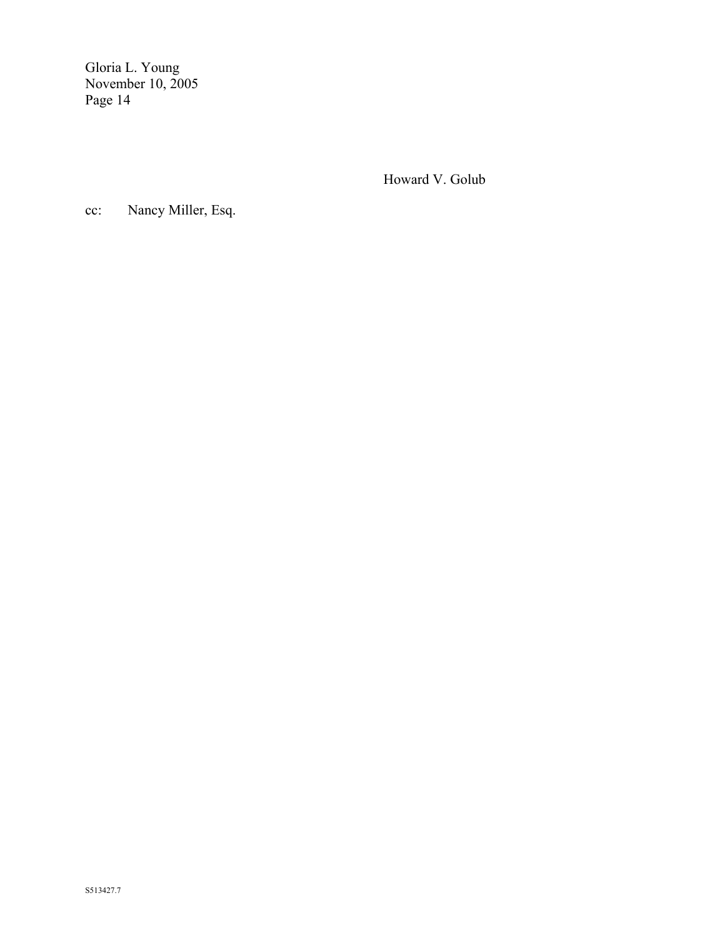Howard V. Golub

cc: Nancy Miller, Esq.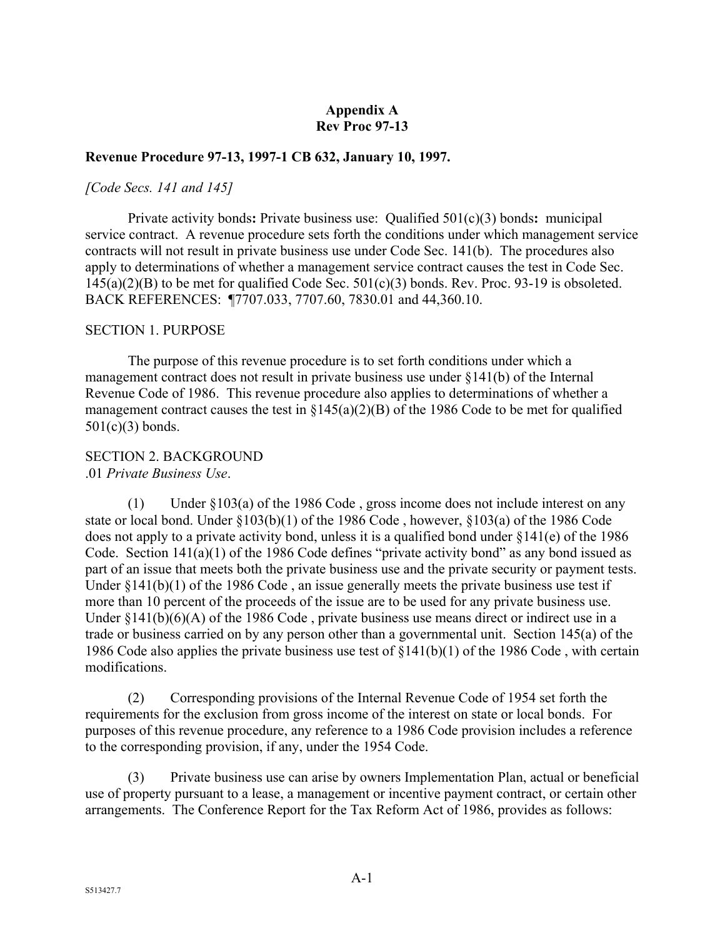## **Appendix A Rev Proc 97-13**

#### **Revenue Procedure 97-13, 1997-1 CB 632, January 10, 1997.**

#### *[Code Secs. 141 and 145]*

Private activity bonds**:** Private business use: Qualified 501(c)(3) bonds**:** municipal service contract. A revenue procedure sets forth the conditions under which management service contracts will not result in private business use under Code Sec. 141(b). The procedures also apply to determinations of whether a management service contract causes the test in Code Sec. 145(a)(2)(B) to be met for qualified Code Sec. 501(c)(3) bonds. Rev. Proc. 93-19 is obsoleted. BACK REFERENCES: ¶7707.033, 7707.60, 7830.01 and 44,360.10.

#### SECTION 1. PURPOSE

The purpose of this revenue procedure is to set forth conditions under which a management contract does not result in private business use under §141(b) of the Internal Revenue Code of 1986. This revenue procedure also applies to determinations of whether a management contract causes the test in  $\S 145(a)(2)(B)$  of the 1986 Code to be met for qualified 501(c)(3) bonds.

# SECTION 2. BACKGROUND

.01 *Private Business Use*.

(1) Under §103(a) of the 1986 Code , gross income does not include interest on any state or local bond. Under §103(b)(1) of the 1986 Code , however, §103(a) of the 1986 Code does not apply to a private activity bond, unless it is a qualified bond under §141(e) of the 1986 Code. Section 141(a)(1) of the 1986 Code defines "private activity bond" as any bond issued as part of an issue that meets both the private business use and the private security or payment tests. Under  $\S 141(b)(1)$  of the 1986 Code, an issue generally meets the private business use test if more than 10 percent of the proceeds of the issue are to be used for any private business use. Under  $\{141(b)(6)(A)$  of the 1986 Code, private business use means direct or indirect use in a trade or business carried on by any person other than a governmental unit. Section 145(a) of the 1986 Code also applies the private business use test of §141(b)(1) of the 1986 Code , with certain modifications.

(2) Corresponding provisions of the Internal Revenue Code of 1954 set forth the requirements for the exclusion from gross income of the interest on state or local bonds. For purposes of this revenue procedure, any reference to a 1986 Code provision includes a reference to the corresponding provision, if any, under the 1954 Code.

(3) Private business use can arise by owners Implementation Plan, actual or beneficial use of property pursuant to a lease, a management or incentive payment contract, or certain other arrangements. The Conference Report for the Tax Reform Act of 1986, provides as follows: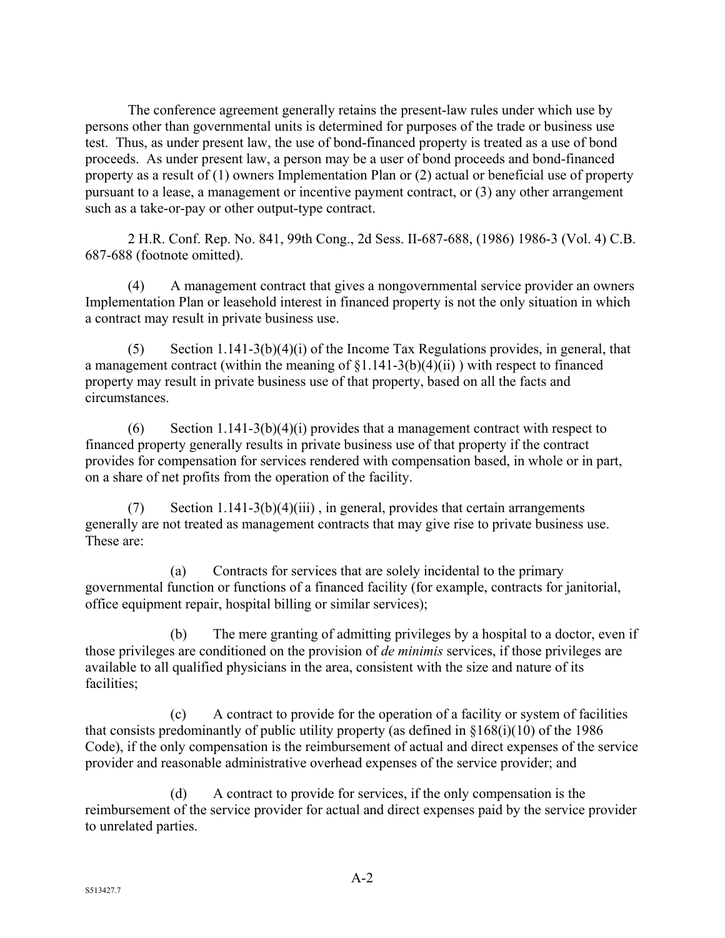The conference agreement generally retains the present-law rules under which use by persons other than governmental units is determined for purposes of the trade or business use test. Thus, as under present law, the use of bond-financed property is treated as a use of bond proceeds. As under present law, a person may be a user of bond proceeds and bond-financed property as a result of (1) owners Implementation Plan or (2) actual or beneficial use of property pursuant to a lease, a management or incentive payment contract, or (3) any other arrangement such as a take-or-pay or other output-type contract.

2 H.R. Conf. Rep. No. 841, 99th Cong., 2d Sess. II-687-688, (1986) 1986-3 (Vol. 4) C.B. 687-688 (footnote omitted).

(4) A management contract that gives a nongovernmental service provider an owners Implementation Plan or leasehold interest in financed property is not the only situation in which a contract may result in private business use.

(5) Section 1.141-3(b)(4)(i) of the Income Tax Regulations provides, in general, that a management contract (within the meaning of  $\S1.141-3(b)(4)(ii)$ ) with respect to financed property may result in private business use of that property, based on all the facts and circumstances.

(6) Section 1.141-3(b)(4)(i) provides that a management contract with respect to financed property generally results in private business use of that property if the contract provides for compensation for services rendered with compensation based, in whole or in part, on a share of net profits from the operation of the facility.

(7) Section 1.141-3(b)(4)(iii), in general, provides that certain arrangements generally are not treated as management contracts that may give rise to private business use. These are:

(a) Contracts for services that are solely incidental to the primary governmental function or functions of a financed facility (for example, contracts for janitorial, office equipment repair, hospital billing or similar services);

(b) The mere granting of admitting privileges by a hospital to a doctor, even if those privileges are conditioned on the provision of *de minimis* services, if those privileges are available to all qualified physicians in the area, consistent with the size and nature of its facilities;

(c) A contract to provide for the operation of a facility or system of facilities that consists predominantly of public utility property (as defined in §168(i)(10) of the 1986 Code), if the only compensation is the reimbursement of actual and direct expenses of the service provider and reasonable administrative overhead expenses of the service provider; and

(d) A contract to provide for services, if the only compensation is the reimbursement of the service provider for actual and direct expenses paid by the service provider to unrelated parties.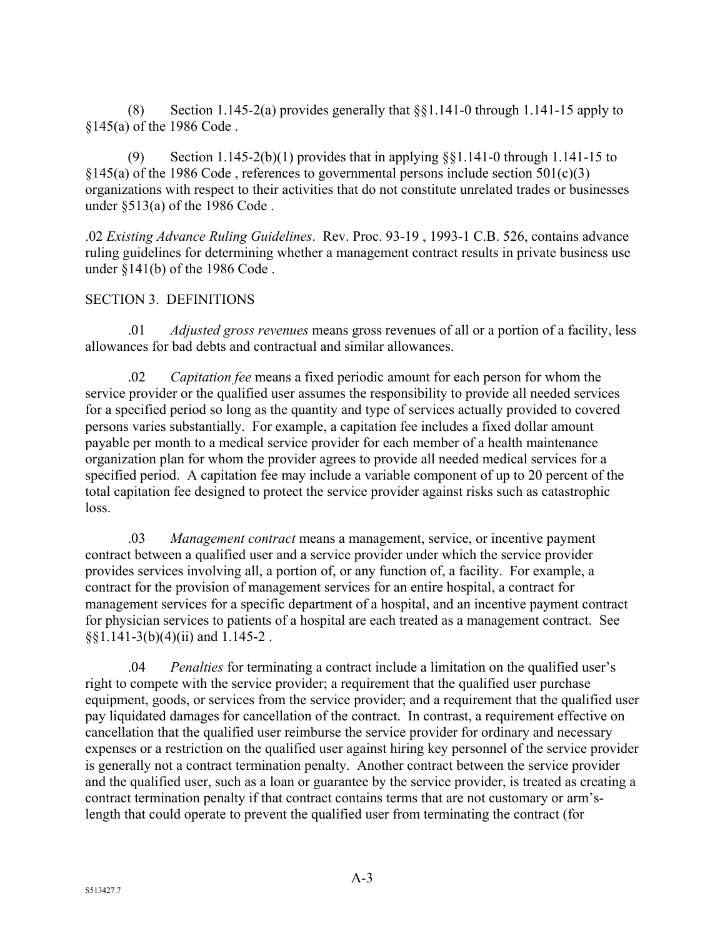(8) Section 1.145-2(a) provides generally that §§1.141-0 through 1.141-15 apply to §145(a) of the 1986 Code .

(9) Section 1.145-2(b)(1) provides that in applying  $\S$ §1.141-0 through 1.141-15 to  $§145(a)$  of the 1986 Code, references to governmental persons include section 501(c)(3) organizations with respect to their activities that do not constitute unrelated trades or businesses under §513(a) of the 1986 Code .

.02 *Existing Advance Ruling Guidelines*. Rev. Proc. 93-19 , 1993-1 C.B. 526, contains advance ruling guidelines for determining whether a management contract results in private business use under §141(b) of the 1986 Code .

## SECTION 3. DEFINITIONS

.01 *Adjusted gross revenues* means gross revenues of all or a portion of a facility, less allowances for bad debts and contractual and similar allowances.

.02 *Capitation fee* means a fixed periodic amount for each person for whom the service provider or the qualified user assumes the responsibility to provide all needed services for a specified period so long as the quantity and type of services actually provided to covered persons varies substantially. For example, a capitation fee includes a fixed dollar amount payable per month to a medical service provider for each member of a health maintenance organization plan for whom the provider agrees to provide all needed medical services for a specified period. A capitation fee may include a variable component of up to 20 percent of the total capitation fee designed to protect the service provider against risks such as catastrophic loss.

.03 *Management contract* means a management, service, or incentive payment contract between a qualified user and a service provider under which the service provider provides services involving all, a portion of, or any function of, a facility. For example, a contract for the provision of management services for an entire hospital, a contract for management services for a specific department of a hospital, and an incentive payment contract for physician services to patients of a hospital are each treated as a management contract. See  $\S$ [\stat{1.141-3(\text{b})(4)(\text{ii)} and 1.145-2.

.04 *Penalties* for terminating a contract include a limitation on the qualified user's right to compete with the service provider; a requirement that the qualified user purchase equipment, goods, or services from the service provider; and a requirement that the qualified user pay liquidated damages for cancellation of the contract. In contrast, a requirement effective on cancellation that the qualified user reimburse the service provider for ordinary and necessary expenses or a restriction on the qualified user against hiring key personnel of the service provider is generally not a contract termination penalty. Another contract between the service provider and the qualified user, such as a loan or guarantee by the service provider, is treated as creating a contract termination penalty if that contract contains terms that are not customary or arm'slength that could operate to prevent the qualified user from terminating the contract (for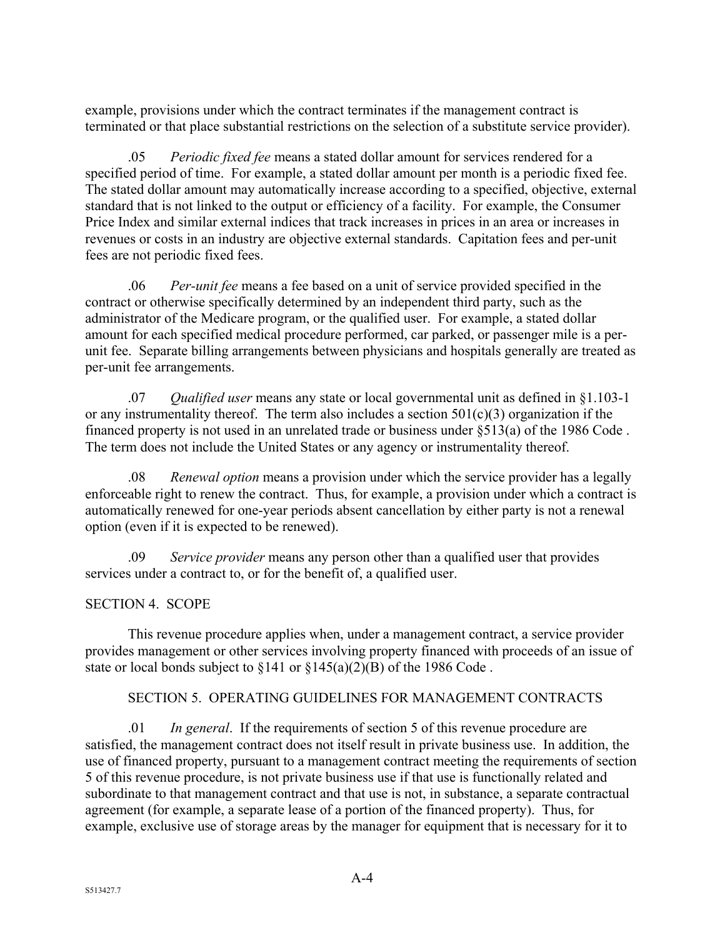example, provisions under which the contract terminates if the management contract is terminated or that place substantial restrictions on the selection of a substitute service provider).

.05 *Periodic fixed fee* means a stated dollar amount for services rendered for a specified period of time. For example, a stated dollar amount per month is a periodic fixed fee. The stated dollar amount may automatically increase according to a specified, objective, external standard that is not linked to the output or efficiency of a facility. For example, the Consumer Price Index and similar external indices that track increases in prices in an area or increases in revenues or costs in an industry are objective external standards. Capitation fees and per-unit fees are not periodic fixed fees.

.06 *Per-unit fee* means a fee based on a unit of service provided specified in the contract or otherwise specifically determined by an independent third party, such as the administrator of the Medicare program, or the qualified user. For example, a stated dollar amount for each specified medical procedure performed, car parked, or passenger mile is a perunit fee. Separate billing arrangements between physicians and hospitals generally are treated as per-unit fee arrangements.

.07 *Qualified user* means any state or local governmental unit as defined in §1.103-1 or any instrumentality thereof. The term also includes a section  $501(c)(3)$  organization if the financed property is not used in an unrelated trade or business under §513(a) of the 1986 Code . The term does not include the United States or any agency or instrumentality thereof.

.08 *Renewal option* means a provision under which the service provider has a legally enforceable right to renew the contract. Thus, for example, a provision under which a contract is automatically renewed for one-year periods absent cancellation by either party is not a renewal option (even if it is expected to be renewed).

.09 *Service provider* means any person other than a qualified user that provides services under a contract to, or for the benefit of, a qualified user.

# SECTION 4. SCOPE

This revenue procedure applies when, under a management contract, a service provider provides management or other services involving property financed with proceeds of an issue of state or local bonds subject to  $\S 141$  or  $\S 145(a)(2)(B)$  of the 1986 Code.

# SECTION 5. OPERATING GUIDELINES FOR MANAGEMENT CONTRACTS

.01 *In general*. If the requirements of section 5 of this revenue procedure are satisfied, the management contract does not itself result in private business use. In addition, the use of financed property, pursuant to a management contract meeting the requirements of section 5 of this revenue procedure, is not private business use if that use is functionally related and subordinate to that management contract and that use is not, in substance, a separate contractual agreement (for example, a separate lease of a portion of the financed property). Thus, for example, exclusive use of storage areas by the manager for equipment that is necessary for it to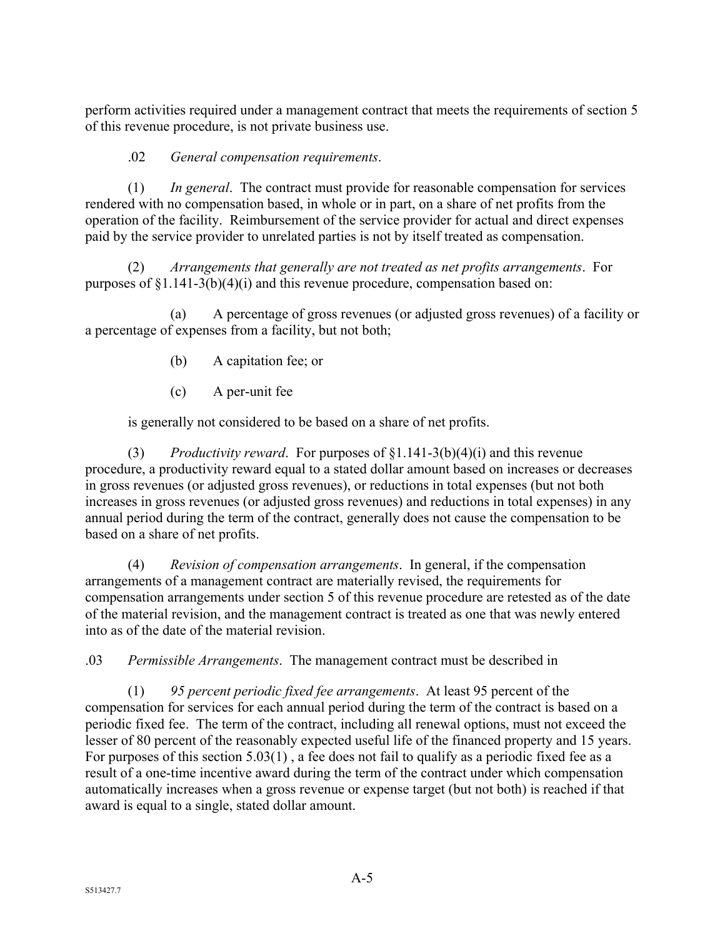perform activities required under a management contract that meets the requirements of section 5 of this revenue procedure, is not private business use.

.02 *General compensation requirements*.

(1) *In general*. The contract must provide for reasonable compensation for services rendered with no compensation based, in whole or in part, on a share of net profits from the operation of the facility. Reimbursement of the service provider for actual and direct expenses paid by the service provider to unrelated parties is not by itself treated as compensation.

(2) *Arrangements that generally are not treated as net profits arrangements*. For purposes of §1.141-3(b)(4)(i) and this revenue procedure, compensation based on:

(a) A percentage of gross revenues (or adjusted gross revenues) of a facility or a percentage of expenses from a facility, but not both;

- (b) A capitation fee; or
- (c) A per-unit fee

is generally not considered to be based on a share of net profits.

(3) *Productivity reward*. For purposes of §1.141-3(b)(4)(i) and this revenue procedure, a productivity reward equal to a stated dollar amount based on increases or decreases in gross revenues (or adjusted gross revenues), or reductions in total expenses (but not both increases in gross revenues (or adjusted gross revenues) and reductions in total expenses) in any annual period during the term of the contract, generally does not cause the compensation to be based on a share of net profits.

(4) *Revision of compensation arrangements*. In general, if the compensation arrangements of a management contract are materially revised, the requirements for compensation arrangements under section 5 of this revenue procedure are retested as of the date of the material revision, and the management contract is treated as one that was newly entered into as of the date of the material revision.

.03 *Permissible Arrangements*. The management contract must be described in

(1) *95 percent periodic fixed fee arrangements*. At least 95 percent of the compensation for services for each annual period during the term of the contract is based on a periodic fixed fee. The term of the contract, including all renewal options, must not exceed the lesser of 80 percent of the reasonably expected useful life of the financed property and 15 years. For purposes of this section 5.03(1) , a fee does not fail to qualify as a periodic fixed fee as a result of a one-time incentive award during the term of the contract under which compensation automatically increases when a gross revenue or expense target (but not both) is reached if that award is equal to a single, stated dollar amount.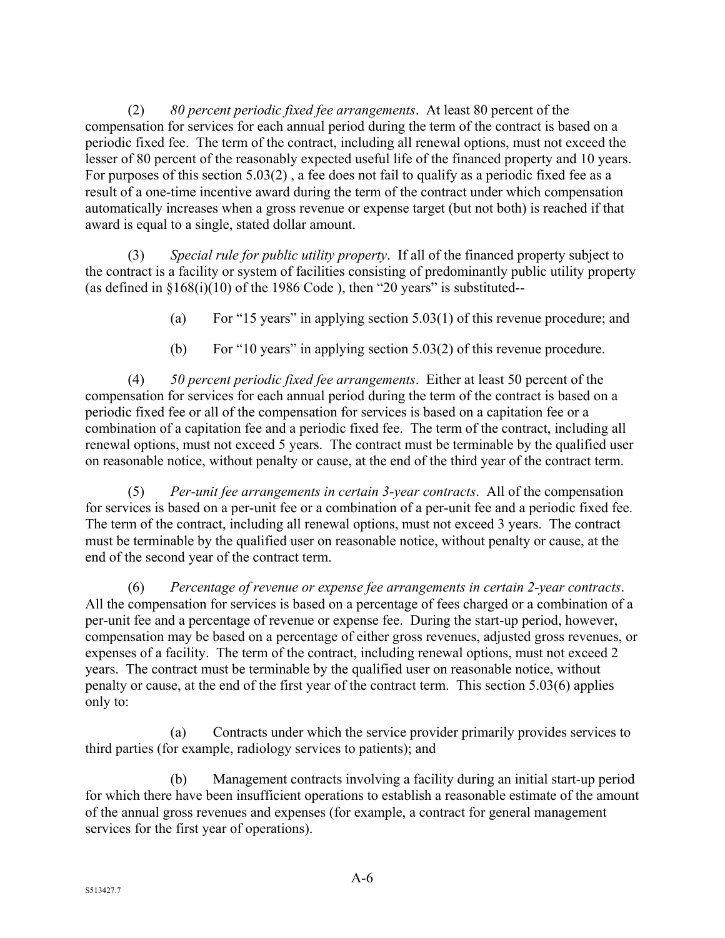(2) *80 percent periodic fixed fee arrangements*. At least 80 percent of the compensation for services for each annual period during the term of the contract is based on a periodic fixed fee. The term of the contract, including all renewal options, must not exceed the lesser of 80 percent of the reasonably expected useful life of the financed property and 10 years. For purposes of this section 5.03(2) , a fee does not fail to qualify as a periodic fixed fee as a result of a one-time incentive award during the term of the contract under which compensation automatically increases when a gross revenue or expense target (but not both) is reached if that award is equal to a single, stated dollar amount.

(3) *Special rule for public utility property*. If all of the financed property subject to the contract is a facility or system of facilities consisting of predominantly public utility property (as defined in  $$168(i)(10)$  of the 1986 Code), then "20 years" is substituted--

- (a) For "15 years" in applying section 5.03(1) of this revenue procedure; and
- (b) For "10 years" in applying section 5.03(2) of this revenue procedure.

(4) *50 percent periodic fixed fee arrangements*. Either at least 50 percent of the compensation for services for each annual period during the term of the contract is based on a periodic fixed fee or all of the compensation for services is based on a capitation fee or a combination of a capitation fee and a periodic fixed fee. The term of the contract, including all renewal options, must not exceed 5 years. The contract must be terminable by the qualified user on reasonable notice, without penalty or cause, at the end of the third year of the contract term.

(5) *Per-unit fee arrangements in certain 3-year contracts*. All of the compensation for services is based on a per-unit fee or a combination of a per-unit fee and a periodic fixed fee. The term of the contract, including all renewal options, must not exceed 3 years. The contract must be terminable by the qualified user on reasonable notice, without penalty or cause, at the end of the second year of the contract term.

(6) *Percentage of revenue or expense fee arrangements in certain 2-year contracts*. All the compensation for services is based on a percentage of fees charged or a combination of a per-unit fee and a percentage of revenue or expense fee. During the start-up period, however, compensation may be based on a percentage of either gross revenues, adjusted gross revenues, or expenses of a facility. The term of the contract, including renewal options, must not exceed 2 years. The contract must be terminable by the qualified user on reasonable notice, without penalty or cause, at the end of the first year of the contract term. This section 5.03(6) applies only to:

(a) Contracts under which the service provider primarily provides services to third parties (for example, radiology services to patients); and

(b) Management contracts involving a facility during an initial start-up period for which there have been insufficient operations to establish a reasonable estimate of the amount of the annual gross revenues and expenses (for example, a contract for general management services for the first year of operations).